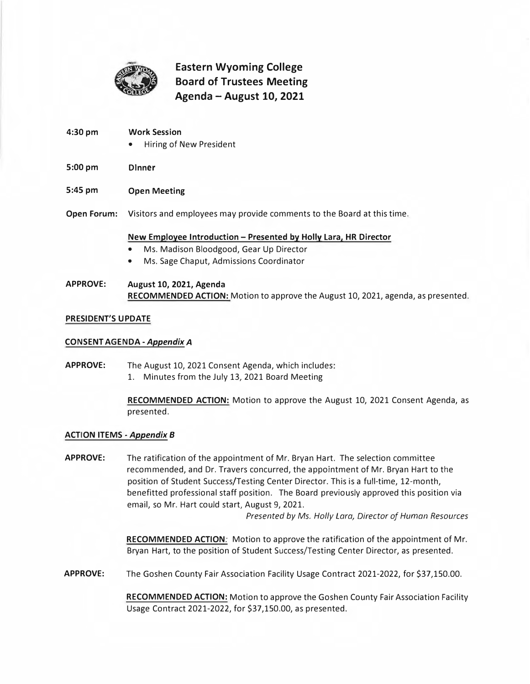

# **Eastern Wyoming College Board of Trustees Meeting Agenda - August 10, 2021**

- **4:30 pm Work Session**  • Hiring of New President **5:00 pm Dinner 5:45 pm Open Meeting Open Forum:** Visitors and employees may provide comments to the Board at this time. **New Employee Introduction - Presented by Holly Lara, HR Director**  • Ms. Madison Bloodgood, Gear Up Director
	- Ms. Sage Chaput, Admissions Coordinator

## APPROVE: August 10, 2021, Agenda **RECOMMENDED ACTION:** Motion to approve the August 10, 2021, agenda, as presented.

#### **PRESIDENT'S UPDATE**

#### **CONSENT AGENDA** *-AppendixA*

**APPROVE:** The August 10, 2021 Consent Agenda, which includes: 1. Minutes from the July 13, 2021 Board Meeting

> **RECOMMENDED ACTION:** Motion to approve the August 10, 2021 Consent Agenda, as presented.

#### **ACTION ITEMS** *-Appendix B*

**APPROVE:** The ratification of the appointment of Mr. Bryan Hart. The selection committee recommended, and Dr. Travers concurred, the appointment of Mr. Bryan Hart to the position of Student Success/Testing Center Director. This is a full-time, 12-month, benefitted professional staff position. The Board previously approved this position via email, so Mr. Hart could start, August 9, 2021.

*Presented by Ms. Holly Lara, Director of Human Resources* 

**RECOMMENDED ACTION:** Motion to approve the ratification of the appointment of Mr. Bryan Hart, to the position of Student Success/Testing Center Director, as presented.

**APPROVE:** The Goshen County Fair Association Facility Usage Contract 2021-2022, for [\\$37,150.00.](https://37,150.00)

**RECOMMENDED ACTION:** Motion to approve the Goshen County Fair Association Facility Usage Contract 2021-2022, for [\\$37,150.00,](https://37,150.00) as presented.